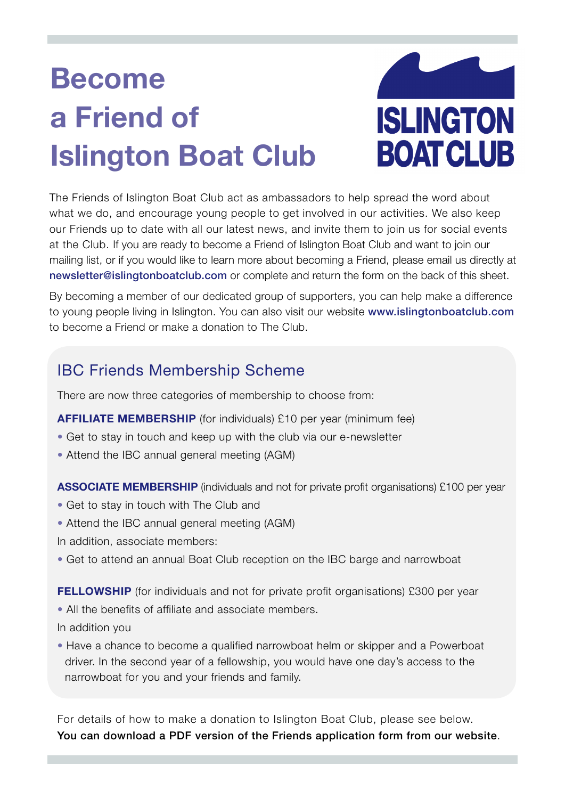# **Become a Friend of Islington Boat Club**



The Friends of Islington Boat Club act as ambassadors to help spread the word about what we do, and encourage young people to get involved in our activities. We also keep our Friends up to date with all our latest news, and invite them to join us for social events at the Club. If you are ready to become a Friend of Islington Boat Club and want to join our mailing list, or if you would like to learn more about becoming a Friend, please email us directly at newsletter@islingtonboatclub.com or complete and return the form on the back of this sheet.

By becoming a member of our dedicated group of supporters, you can help make a difference to young people living in Islington. You can also visit our website www.islingtonboatclub.com to become a Friend or make a donation to The Club.

## IBC Friends Membership Scheme

There are now three categories of membership to choose from:

- **AFFILIATE MEMBERSHIP** (for individuals) £10 per year (minimum fee)
- Get to stay in touch and keep up with the club via our e-newsletter
- Attend the IBC annual general meeting (AGM)

**ASSOCIATE MEMBERSHIP** (individuals and not for private profit organisations) £100 per year

- Get to stay in touch with The Club and
- Attend the IBC annual general meeting (AGM)

In addition, associate members:

• Get to attend an annual Boat Club reception on the IBC barge and narrowboat

**FELLOWSHIP** (for individuals and not for private profit organisations) £300 per year • All the benefits of affiliate and associate members.

In addition you

• Have a chance to become a qualified narrowboat helm or skipper and a Powerboat driver. In the second year of a fellowship, you would have one day's access to the narrowboat for you and your friends and family.

For details of how to make a donation to Islington Boat Club, please see below. You can download a PDF version of the Friends application form from our website.